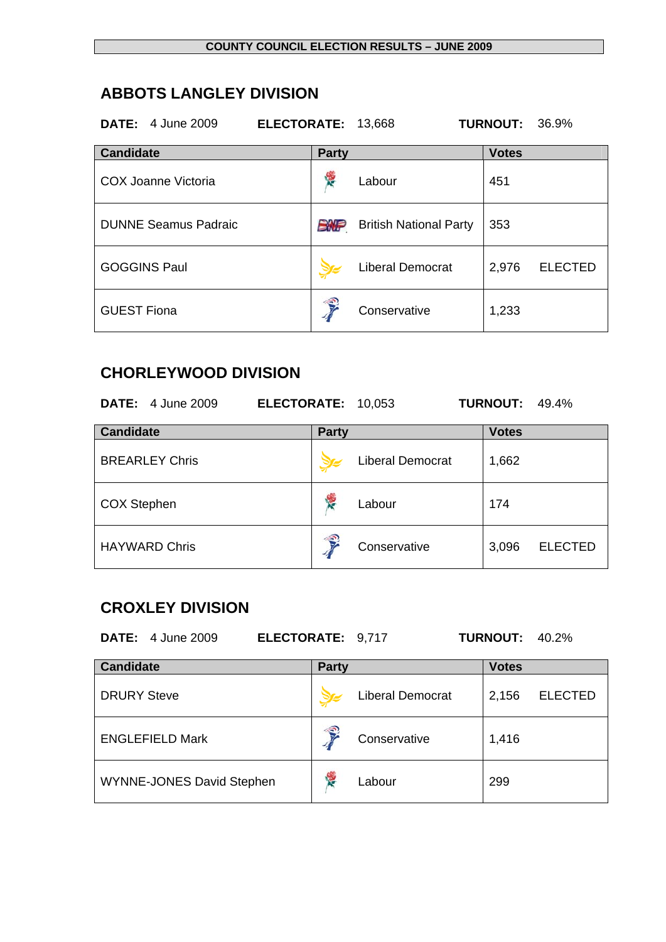## **ABBOTS LANGLEY DIVISION**

| <b>DATE:</b> 4 June 2009    | ELECTORATE: 13,668 |                               | <b>TURNOUT:</b><br>36.9% |
|-----------------------------|--------------------|-------------------------------|--------------------------|
| <b>Candidate</b>            | <b>Party</b>       |                               | <b>Votes</b>             |
| <b>COX Joanne Victoria</b>  | 侵                  | Labour                        | 451                      |
| <b>DUNNE Seamus Padraic</b> | <b>EWP</b>         | <b>British National Party</b> | 353                      |
| <b>GOGGINS Paul</b>         |                    | <b>Liberal Democrat</b>       | <b>ELECTED</b><br>2,976  |
| <b>GUEST Fiona</b>          | Ş                  | Conservative                  | 1,233                    |

#### **CHORLEYWOOD DIVISION**

| <b>DATE:</b> 4 June 2009 | ELECTORATE: 10,053 |                         | <b>TURNOUT:</b><br>49.4% |
|--------------------------|--------------------|-------------------------|--------------------------|
| <b>Candidate</b>         | <b>Party</b>       |                         | <b>Votes</b>             |
| <b>BREARLEY Chris</b>    |                    | <b>Liberal Democrat</b> | 1,662                    |
| <b>COX Stephen</b>       | Ý.                 | Labour                  | 174                      |
| <b>HAYWARD Chris</b>     | €                  | Conservative            | <b>ELECTED</b><br>3,096  |

## **CROXLEY DIVISION**

| <b>DATE:</b> 4 June 2009<br>ELECTORATE: 9,717 |              |                         | <b>TURNOUT:</b> | 40.2%          |
|-----------------------------------------------|--------------|-------------------------|-----------------|----------------|
| <b>Candidate</b>                              | <b>Party</b> |                         | <b>Votes</b>    |                |
| <b>DRURY Steve</b>                            |              | <b>Liberal Democrat</b> | 2,156           | <b>ELECTED</b> |
| <b>ENGLEFIELD Mark</b>                        |              | Conservative            | 1,416           |                |
| <b>WYNNE-JONES David Stephen</b>              | 侵            | Labour                  | 299             |                |